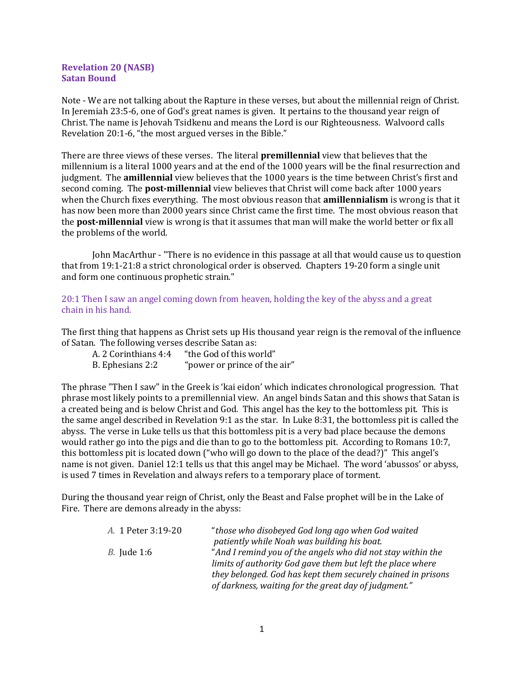## Revelation 20 (NASB) Satan Bound

Note - We are not talking about the Rapture in these verses, but about the millennial reign of Christ. In Jeremiah 23:5-6, one of God's great names is given. It pertains to the thousand year reign of Christ. The name is Jehovah Tsidkenu and means the Lord is our Righteousness. Walvoord calls Revelation 20:1-6, "the most argued verses in the Bible."

There are three views of these verses. The literal **premillennial** view that believes that the millennium is a literal 1000 years and at the end of the 1000 years will be the final resurrection and judgment. The **amillennial** view believes that the 1000 years is the time between Christ's first and second coming. The **post-millennial** view believes that Christ will come back after 1000 years when the Church fixes everything. The most obvious reason that **amillennialism** is wrong is that it has now been more than 2000 years since Christ came the first time. The most obvious reason that the **post-millennial** view is wrong is that it assumes that man will make the world better or fix all the problems of the world.

John MacArthur - "There is no evidence in this passage at all that would cause us to question that from 19:1-21:8 a strict chronological order is observed. Chapters 19-20 form a single unit and form one continuous prophetic strain."

20:1 Then I saw an angel coming down from heaven, holding the key of the abyss and a great chain in his hand.

The first thing that happens as Christ sets up His thousand year reign is the removal of the influence of Satan. The following verses describe Satan as:

| A. 2 Corinthians 4:4 | "the God of this world"      |
|----------------------|------------------------------|
| B. Ephesians 2:2     | "power or prince of the air" |

The phrase "Then I saw" in the Greek is 'kai eidon' which indicates chronological progression. That phrase most likely points to a premillennial view. An angel binds Satan and this shows that Satan is a created being and is below Christ and God. This angel has the key to the bottomless pit. This is the same angel described in Revelation 9:1 as the star. In Luke 8:31, the bottomless pit is called the abyss. The verse in Luke tells us that this bottomless pit is a very bad place because the demons would rather go into the pigs and die than to go to the bottomless pit. According to Romans 10:7, this bottomless pit is located down ("who will go down to the place of the dead?)" This angel's name is not given. Daniel 12:1 tells us that this angel may be Michael. The word 'abussos' or abyss, is used 7 times in Revelation and always refers to a temporary place of torment.

During the thousand year reign of Christ, only the Beast and False prophet will be in the Lake of Fire. There are demons already in the abyss:

| A. 1 Peter 3:19-20 | "those who disobeyed God long ago when God waited            |
|--------------------|--------------------------------------------------------------|
|                    | patiently while Noah was building his boat.                  |
| <i>B.</i> Jude 1:6 | "And I remind you of the angels who did not stay within the  |
|                    | limits of authority God gave them but left the place where   |
|                    | they belonged. God has kept them securely chained in prisons |
|                    | of darkness, waiting for the great day of judgment."         |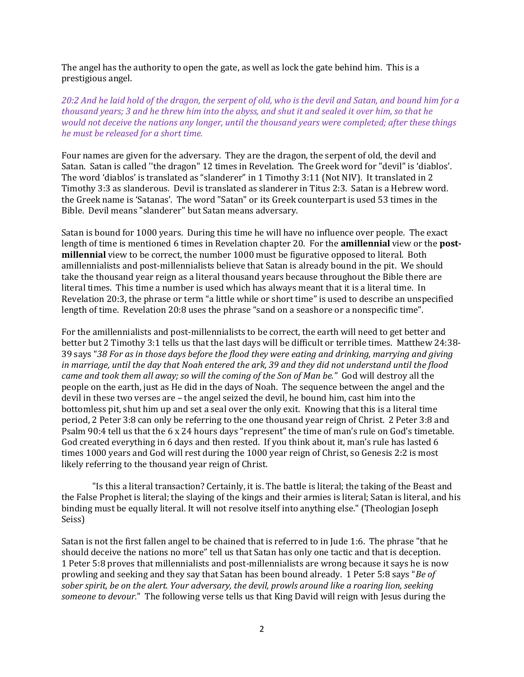The angel has the authority to open the gate, as well as lock the gate behind him. This is a prestigious angel.

20:2 And he laid hold of the dragon, the serpent of old, who is the devil and Satan, and bound him for a thousand years; 3 and he threw him into the abyss, and shut it and sealed it over him, so that he would not deceive the nations any longer, until the thousand years were completed; after these things he must be released for a short time.

Four names are given for the adversary. They are the dragon, the serpent of old, the devil and Satan. Satan is called ''the dragon" 12 times in Revelation. The Greek word for "devil" is 'diablos'. The word 'diablos' is translated as "slanderer" in 1 Timothy 3:11 (Not NIV). It translated in 2 Timothy 3:3 as slanderous. Devil is translated as slanderer in Titus 2:3. Satan is a Hebrew word. the Greek name is 'Satanas'. The word "Satan" or its Greek counterpart is used 53 times in the Bible. Devil means "slanderer" but Satan means adversary.

Satan is bound for 1000 years. During this time he will have no influence over people. The exact length of time is mentioned 6 times in Revelation chapter 20. For the **amillennial** view or the **post**millennial view to be correct, the number 1000 must be figurative opposed to literal. Both amillennialists and post-millennialists believe that Satan is already bound in the pit. We should take the thousand year reign as a literal thousand years because throughout the Bible there are literal times. This time a number is used which has always meant that it is a literal time. In Revelation 20:3, the phrase or term "a little while or short time" is used to describe an unspecified length of time. Revelation 20:8 uses the phrase "sand on a seashore or a nonspecific time".

For the amillennialists and post-millennialists to be correct, the earth will need to get better and better but 2 Timothy 3:1 tells us that the last days will be difficult or terrible times. Matthew 24:38- 39 says "38 For as in those days before the flood they were eating and drinking, marrying and giving in marriage, until the day that Noah entered the ark, 39 and they did not understand until the flood came and took them all away; so will the coming of the Son of Man be." God will destroy all the people on the earth, just as He did in the days of Noah. The sequence between the angel and the devil in these two verses are – the angel seized the devil, he bound him, cast him into the bottomless pit, shut him up and set a seal over the only exit. Knowing that this is a literal time period, 2 Peter 3:8 can only be referring to the one thousand year reign of Christ. 2 Peter 3:8 and Psalm 90:4 tell us that the 6 x 24 hours days "represent" the time of man's rule on God's timetable. God created everything in 6 days and then rested. If you think about it, man's rule has lasted 6 times 1000 years and God will rest during the 1000 year reign of Christ, so Genesis 2:2 is most likely referring to the thousand year reign of Christ.

"Is this a literal transaction? Certainly, it is. The battle is literal; the taking of the Beast and the False Prophet is literal; the slaying of the kings and their armies is literal; Satan is literal, and his binding must be equally literal. It will not resolve itself into anything else." (Theologian Joseph Seiss)

Satan is not the first fallen angel to be chained that is referred to in Jude 1:6. The phrase "that he should deceive the nations no more" tell us that Satan has only one tactic and that is deception. 1 Peter 5:8 proves that millennialists and post-millennialists are wrong because it says he is now prowling and seeking and they say that Satan has been bound already. 1 Peter 5:8 says "Be of sober spirit, be on the alert. Your adversary, the devil, prowls around like a roaring lion, seeking someone to devour." The following verse tells us that King David will reign with Jesus during the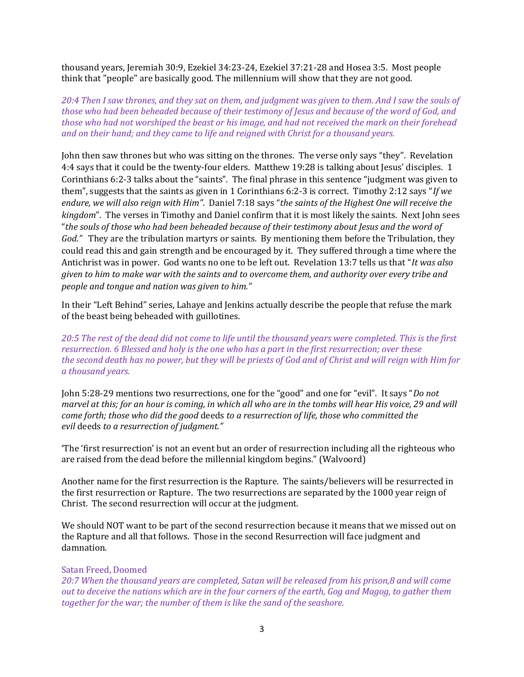thousand years, Jeremiah 30:9, Ezekiel 34:23-24, Ezekiel 37:21-28 and Hosea 3:5. Most people think that "people" are basically good. The millennium will show that they are not good.

20:4 Then I saw thrones, and they sat on them, and judgment was given to them. And I saw the souls of those who had been beheaded because of their testimony of Jesus and because of the word of God, and those who had not worshiped the beast or his image, and had not received the mark on their forehead and on their hand; and they came to life and reigned with Christ for a thousand years.

John then saw thrones but who was sitting on the thrones. The verse only says "they". Revelation 4:4 says that it could be the twenty-four elders. Matthew 19:28 is talking about Jesus' disciples. 1 Corinthians 6:2-3 talks about the "saints". The final phrase in this sentence "judgment was given to them", suggests that the saints as given in 1 Corinthians 6:2-3 is correct. Timothy 2:12 says "If we endure, we will also reign with Him". Daniel 7:18 says "the saints of the Highest One will receive the kingdom". The verses in Timothy and Daniel confirm that it is most likely the saints. Next John sees "the souls of those who had been beheaded because of their testimony about Jesus and the word of God." They are the tribulation martyrs or saints. By mentioning them before the Tribulation, they could read this and gain strength and be encouraged by it. They suffered through a time where the Antichrist was in power. God wants no one to be left out. Revelation 13:7 tells us that "It was also" given to him to make war with the saints and to overcome them, and authority over every tribe and people and tongue and nation was given to him."

In their "Left Behind" series, Lahaye and Jenkins actually describe the people that refuse the mark of the beast being beheaded with guillotines.

20:5 The rest of the dead did not come to life until the thousand years were completed. This is the first resurrection. 6 Blessed and holy is the one who has a part in the first resurrection; over these the second death has no power, but they will be priests of God and of Christ and will reign with Him for a thousand years.

John 5:28-29 mentions two resurrections, one for the "good" and one for "evil". It says "Do not marvel at this; for an hour is coming, in which all who are in the tombs will hear His voice, 29 and will come forth; those who did the good deeds to a resurrection of life, those who committed the evil deeds to a resurrection of judgment."

'The 'first resurrection' is not an event but an order of resurrection including all the righteous who are raised from the dead before the millennial kingdom begins." (Walvoord)

Another name for the first resurrection is the Rapture. The saints/believers will be resurrected in the first resurrection or Rapture. The two resurrections are separated by the 1000 year reign of Christ. The second resurrection will occur at the judgment.

We should NOT want to be part of the second resurrection because it means that we missed out on the Rapture and all that follows. Those in the second Resurrection will face judgment and damnation.

## Satan Freed, Doomed

20:7 When the thousand years are completed, Satan will be released from his prison,8 and will come out to deceive the nations which are in the four corners of the earth, Gog and Magog, to gather them together for the war; the number of them is like the sand of the seashore.